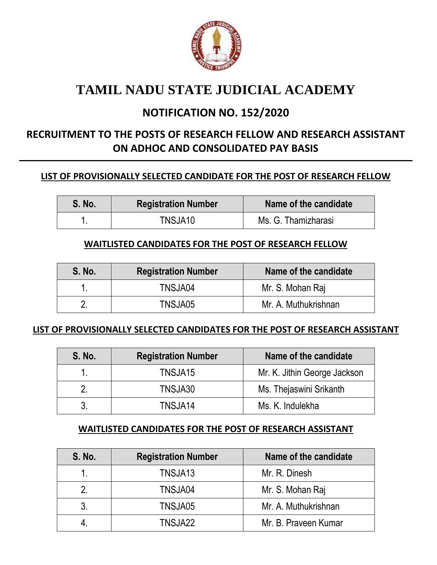

## **TAMIL NADU STATE JUDICIAL ACADEMY**

### **NOTIFICATION NO. 152/2020**

### **RECRUITMENT TO THE POSTS OF RESEARCH FELLOW AND RESEARCH ASSISTANT ON ADHOC AND CONSOLIDATED PAY BASIS**

#### **LIST OF PROVISIONALLY SELECTED CANDIDATE FOR THE POST OF RESEARCH FELLOW**

| <b>S. No.</b> | <b>Registration Number</b> | Name of the candidate |  |
|---------------|----------------------------|-----------------------|--|
|               | TNSJA10                    | Ms. G. Thamizharasi   |  |

#### **WAITLISTED CANDIDATES FOR THE POST OF RESEARCH FELLOW**

| <b>S. No.</b> | <b>Registration Number</b> | Name of the candidate |
|---------------|----------------------------|-----------------------|
|               | TNSJA04                    | Mr. S. Mohan Raj      |
|               | TNSJA05                    | Mr. A. Muthukrishnan  |

#### **LIST OF PROVISIONALLY SELECTED CANDIDATES FOR THE POST OF RESEARCH ASSISTANT**

| <b>S. No.</b> | Name of the candidate<br><b>Registration Number</b> |                              |
|---------------|-----------------------------------------------------|------------------------------|
|               | TNSJA15                                             | Mr. K. Jithin George Jackson |
|               | TNSJA30                                             | Ms. Thejaswini Srikanth      |
|               | TNSJA14                                             | Ms. K. Indulekha             |

#### **WAITLISTED CANDIDATES FOR THE POST OF RESEARCH ASSISTANT**

| S. No. | <b>Registration Number</b> | Name of the candidate |
|--------|----------------------------|-----------------------|
|        | TNSJA13                    | Mr. R. Dinesh         |
|        | TNSJA04                    | Mr. S. Mohan Raj      |
|        | TNSJA05                    | Mr. A. Muthukrishnan  |
|        | TNSJA22                    | Mr. B. Praveen Kumar  |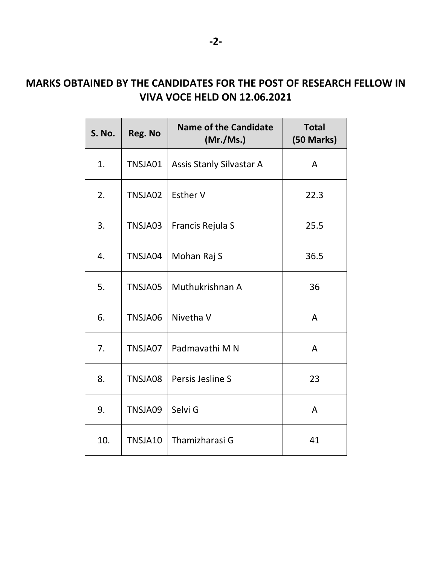### **MARKS OBTAINED BY THE CANDIDATES FOR THE POST OF RESEARCH FELLOW IN VIVA VOCE HELD ON 12.06.2021**

| S. No. | Reg. No | <b>Name of the Candidate</b><br>(Mr./Ms.) | <b>Total</b><br>(50 Marks) |
|--------|---------|-------------------------------------------|----------------------------|
| 1.     | TNSJA01 | Assis Stanly Silvastar A                  | A                          |
| 2.     | TNSJA02 | <b>Esther V</b>                           | 22.3                       |
| 3.     | TNSJA03 | Francis Rejula S                          | 25.5                       |
| 4.     | TNSJA04 | Mohan Raj S                               | 36.5                       |
| 5.     | TNSJA05 | Muthukrishnan A                           | 36                         |
| 6.     | TNSJA06 | Nivetha V                                 | A                          |
| 7.     | TNSJA07 | Padmavathi M N                            | A                          |
| 8.     | TNSJA08 | Persis Jesline S                          | 23                         |
| 9.     | TNSJA09 | Selvi G                                   | A                          |
| 10.    | TNSJA10 | Thamizharasi G                            | 41                         |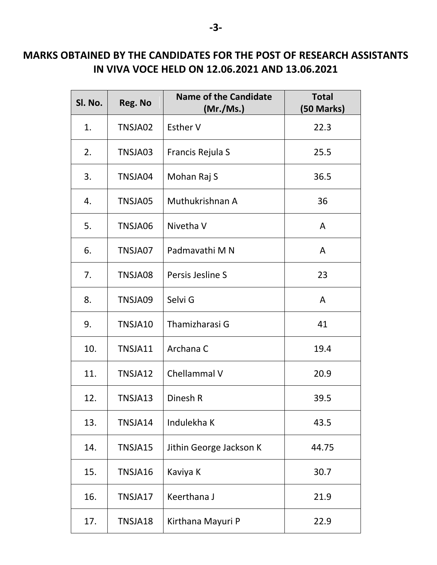### **MARKS OBTAINED BY THE CANDIDATES FOR THE POST OF RESEARCH ASSISTANTS IN VIVA VOCE HELD ON 12.06.2021 AND 13.06.2021**

| Sl. No. | Reg. No | <b>Name of the Candidate</b><br>(Mr./Ms.) | <b>Total</b><br>(50 Marks) |
|---------|---------|-------------------------------------------|----------------------------|
| 1.      | TNSJA02 | <b>Esther V</b>                           | 22.3                       |
| 2.      | TNSJA03 | Francis Rejula S                          | 25.5                       |
| 3.      | TNSJA04 | Mohan Raj S                               | 36.5                       |
| 4.      | TNSJA05 | Muthukrishnan A                           | 36                         |
| 5.      | TNSJA06 | Nivetha V                                 | A                          |
| 6.      | TNSJA07 | Padmavathi M N                            | A                          |
| 7.      | TNSJA08 | Persis Jesline S                          | 23                         |
| 8.      | TNSJA09 | Selvi G                                   | A                          |
| 9.      | TNSJA10 | Thamizharasi G                            | 41                         |
| 10.     | TNSJA11 | Archana C                                 | 19.4                       |
| 11.     | TNSJA12 | Chellammal V                              | 20.9                       |
| 12.     | TNSJA13 | Dinesh R                                  | 39.5                       |
| 13.     | TNSJA14 | Indulekha K                               | 43.5                       |
| 14.     | TNSJA15 | Jithin George Jackson K                   | 44.75                      |
| 15.     | TNSJA16 | Kaviya K                                  | 30.7                       |
| 16.     | TNSJA17 | Keerthana J                               | 21.9                       |
| 17.     | TNSJA18 | Kirthana Mayuri P                         | 22.9                       |